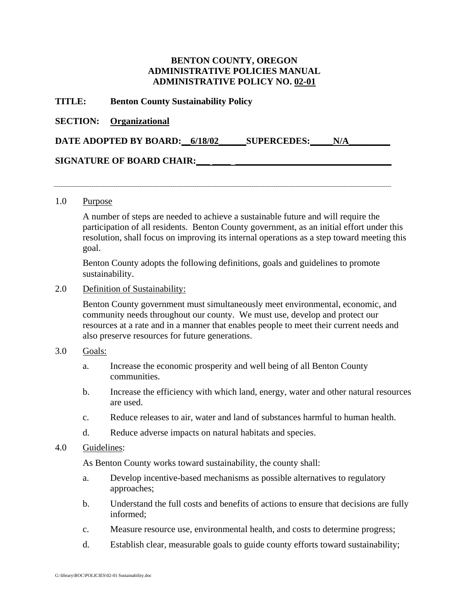# **BENTON COUNTY, OREGON ADMINISTRATIVE POLICIES MANUAL ADMINISTRATIVE POLICY NO. 02-01**

### **TITLE: Benton County Sustainability Policy**

### **SECTION: Organizational**

|  | DATE ADOPTED BY BOARD: 6/18/02 |  | <b>SUPERCEDES:</b> | N/A |
|--|--------------------------------|--|--------------------|-----|
|--|--------------------------------|--|--------------------|-----|

## **SIGNATURE OF BOARD CHAIR:\_\_\_ \_\_\_\_ \_\_\_\_\_\_\_\_\_\_\_\_\_\_\_\_\_\_\_\_\_\_\_\_\_\_\_\_\_\_\_\_\_\_**

#### 1.0 Purpose

A number of steps are needed to achieve a sustainable future and will require the participation of all residents. Benton County government, as an initial effort under this resolution, shall focus on improving its internal operations as a step toward meeting this goal.

Benton County adopts the following definitions, goals and guidelines to promote sustainability.

### 2.0 Definition of Sustainability:

Benton County government must simultaneously meet environmental, economic, and community needs throughout our county. We must use, develop and protect our resources at a rate and in a manner that enables people to meet their current needs and also preserve resources for future generations.

## 3.0 Goals:

- a. Increase the economic prosperity and well being of all Benton County communities.
- b. Increase the efficiency with which land, energy, water and other natural resources are used.
- c. Reduce releases to air, water and land of substances harmful to human health.
- d. Reduce adverse impacts on natural habitats and species.

## 4.0 Guidelines:

As Benton County works toward sustainability, the county shall:

- a. Develop incentive-based mechanisms as possible alternatives to regulatory approaches;
- b. Understand the full costs and benefits of actions to ensure that decisions are fully informed;
- c. Measure resource use, environmental health, and costs to determine progress;
- d. Establish clear, measurable goals to guide county efforts toward sustainability;